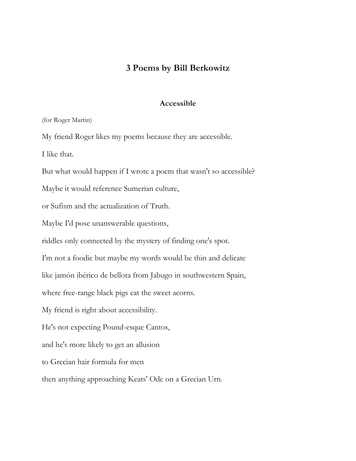## **3 Poems by Bill Berkowitz**

## **Accessible**

(for Roger Martin)

My friend Roger likes my poems because they are accessible.

I like that.

But what would happen if I wrote a poem that wasn't so accessible?

Maybe it would reference Sumerian culture,

or Sufism and the actualization of Truth.

Maybe I'd pose unanswerable questions,

riddles only connected by the mystery of finding one's spot.

I'm not a foodie but maybe my words would be thin and delicate

like jamón ibérico de bellota from Jabugo in southwestern Spain,

where free-range black pigs eat the sweet acorns.

My friend is right about accessibility.

He's not expecting Pound-esque Cantos,

and he's more likely to get an allusion

to Grecian hair formula for men

then anything approaching Keats' Ode on a Grecian Urn.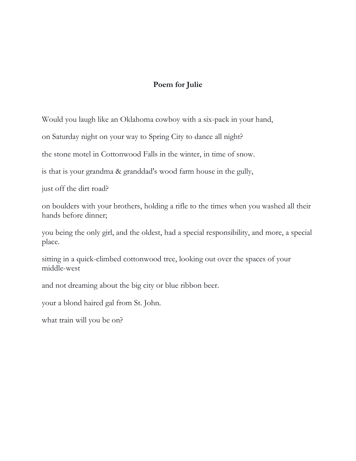## **Poem for Julie**

Would you laugh like an Oklahoma cowboy with a six-pack in your hand,

on Saturday night on your way to Spring City to dance all night?

the stone motel in Cottonwood Falls in the winter, in time of snow.

is that is your grandma & granddad's wood farm house in the gully,

just off the dirt road?

on boulders with your brothers, holding a rifle to the times when you washed all their hands before dinner;

you being the only girl, and the oldest, had a special responsibility, and more, a special place.

sitting in a quick-climbed cottonwood tree, looking out over the spaces of your middle-west

and not dreaming about the big city or blue ribbon beer.

your a blond haired gal from St. John.

what train will you be on?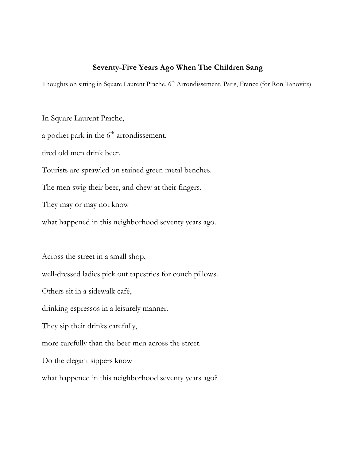## **Seventy-Five Years Ago When The Children Sang**

Thoughts on sitting in Square Laurent Prache, 6<sup>th</sup> Arrondissement, Paris, France (for Ron Tanovitz)

In Square Laurent Prache, a pocket park in the  $6<sup>th</sup>$  arrondissement, tired old men drink beer. Tourists are sprawled on stained green metal benches. The men swig their beer, and chew at their fingers. They may or may not know what happened in this neighborhood seventy years ago.

Across the street in a small shop, well-dressed ladies pick out tapestries for couch pillows. Others sit in a sidewalk café, drinking espressos in a leisurely manner. They sip their drinks carefully, more carefully than the beer men across the street. Do the elegant sippers know

what happened in this neighborhood seventy years ago?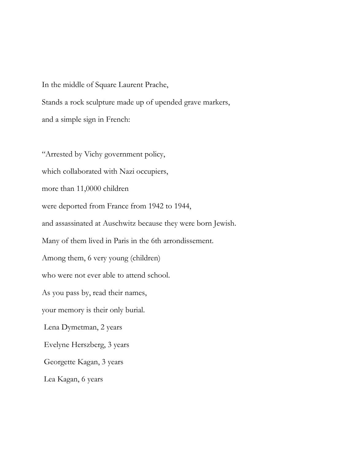In the middle of Square Laurent Prache, Stands a rock sculpture made up of upended grave markers, and a simple sign in French:

"Arrested by Vichy government policy, which collaborated with Nazi occupiers, more than 11,0000 children were deported from France from 1942 to 1944, and assassinated at Auschwitz because they were born Jewish. Many of them lived in Paris in the 6th arrondissement. Among them, 6 very young (children) who were not ever able to attend school. As you pass by, read their names, your memory is their only burial. Lena Dymetman, 2 years Evelyne Herszberg, 3 years Georgette Kagan, 3 years Lea Kagan, 6 years